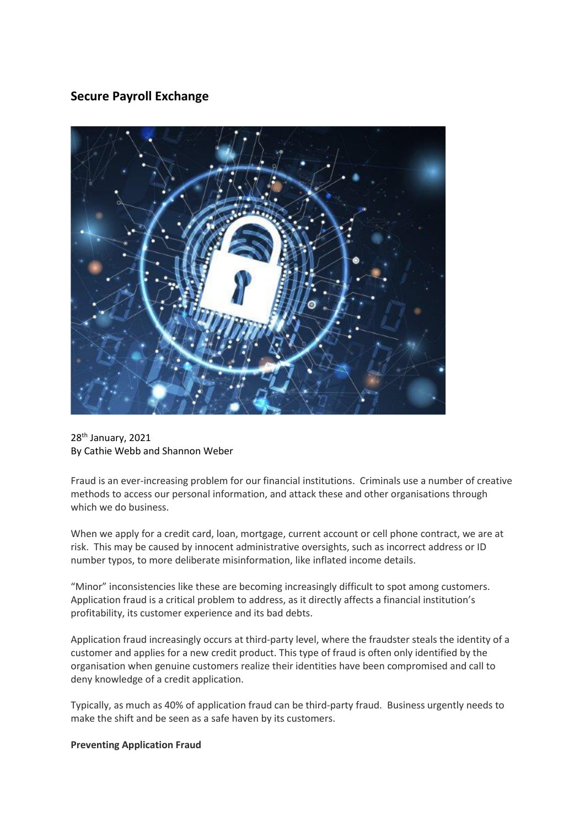# **Secure Payroll Exchange**



28<sup>th</sup> January, 2021 By Cathie Webb and Shannon Weber

Fraud is an ever-increasing problem for our financial institutions. Criminals use a number of creative methods to access our personal information, and attack these and other organisations through which we do business.

When we apply for a credit card, loan, mortgage, current account or cell phone contract, we are at risk. This may be caused by innocent administrative oversights, such as incorrect address or ID number typos, to more deliberate misinformation, like inflated income details.

"Minor" inconsistencies like these are becoming increasingly difficult to spot among customers. Application fraud is a critical problem to address, as it directly affects a financial institution's profitability, its customer experience and its bad debts.

Application fraud increasingly occurs at third-party level, where the fraudster steals the identity of a customer and applies for a new credit product. This type of fraud is often only identified by the organisation when genuine customers realize their identities have been compromised and call to deny knowledge of a credit application.

Typically, as much as 40% of application fraud can be third-party fraud. Business urgently needs to make the shift and be seen as a safe haven by its customers.

## **Preventing Application Fraud**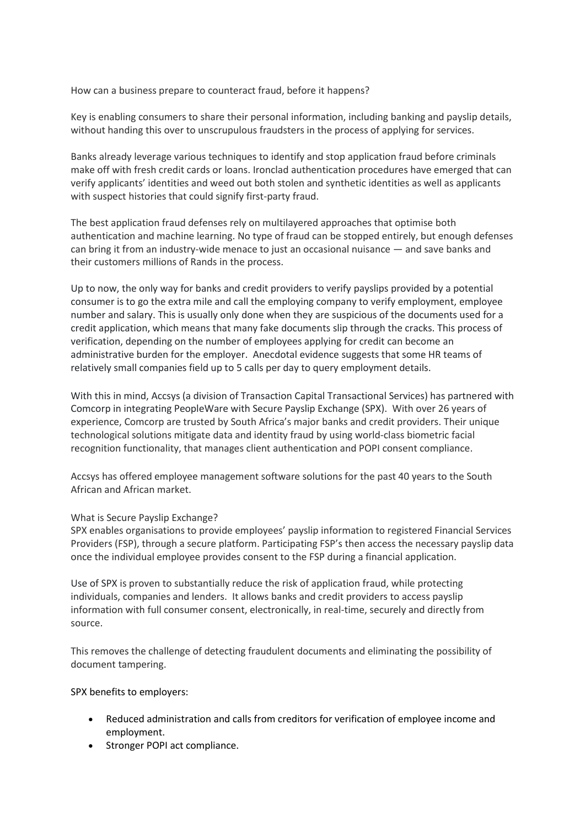How can a business prepare to counteract fraud, before it happens?

Key is enabling consumers to share their personal information, including banking and payslip details, without handing this over to unscrupulous fraudsters in the process of applying for services.

Banks already leverage various techniques to identify and stop application fraud before criminals make off with fresh credit cards or loans. Ironclad authentication procedures have emerged that can verify applicants' identities and weed out both stolen and synthetic identities as well as applicants with suspect histories that could signify first-party fraud.

The best application fraud defenses rely on multilayered approaches that optimise both authentication and machine learning. No type of fraud can be stopped entirely, but enough defenses can bring it from an industry-wide menace to just an occasional nuisance — and save banks and their customers millions of Rands in the process.

Up to now, the only way for banks and credit providers to verify payslips provided by a potential consumer is to go the extra mile and call the employing company to verify employment, employee number and salary. This is usually only done when they are suspicious of the documents used for a credit application, which means that many fake documents slip through the cracks. This process of verification, depending on the number of employees applying for credit can become an administrative burden for the employer. Anecdotal evidence suggests that some HR teams of relatively small companies field up to 5 calls per day to query employment details.

With this in mind, Accsys (a division of Transaction Capital Transactional Services) has partnered with Comcorp in integrating PeopleWare with Secure Payslip Exchange (SPX). With over 26 years of experience, Comcorp are trusted by South Africa's major banks and credit providers. Their unique technological solutions mitigate data and identity fraud by using world-class biometric facial recognition functionality, that manages client authentication and POPI consent compliance.

Accsys has offered employee management software solutions for the past 40 years to the South African and African market.

## What is Secure Payslip Exchange?

SPX enables organisations to provide employees' payslip information to registered Financial Services Providers (FSP), through a secure platform. Participating FSP's then access the necessary payslip data once the individual employee provides consent to the FSP during a financial application.

Use of SPX is proven to substantially reduce the risk of application fraud, while protecting individuals, companies and lenders. It allows banks and credit providers to access payslip information with full consumer consent, electronically, in real-time, securely and directly from source.

This removes the challenge of detecting fraudulent documents and eliminating the possibility of document tampering.

SPX benefits to employers:

- Reduced administration and calls from creditors for verification of employee income and employment.
- Stronger POPI act compliance.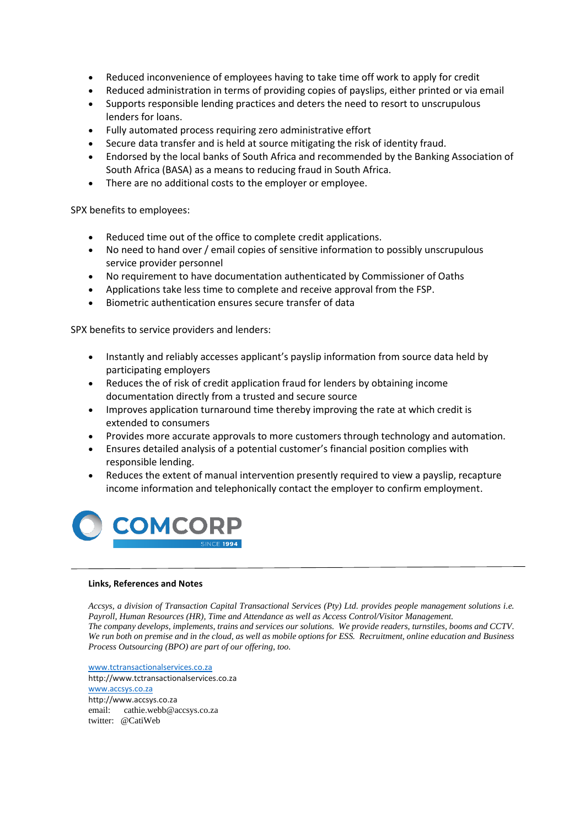- Reduced inconvenience of employees having to take time off work to apply for credit
- Reduced administration in terms of providing copies of payslips, either printed or via email
- Supports responsible lending practices and deters the need to resort to unscrupulous lenders for loans.
- Fully automated process requiring zero administrative effort
- Secure data transfer and is held at source mitigating the risk of identity fraud.
- Endorsed by the local banks of South Africa and recommended by the Banking Association of South Africa (BASA) as a means to reducing fraud in South Africa.
- There are no additional costs to the employer or employee.

SPX benefits to employees:

- Reduced time out of the office to complete credit applications.
- No need to hand over / email copies of sensitive information to possibly unscrupulous service provider personnel
- No requirement to have documentation authenticated by Commissioner of Oaths
- Applications take less time to complete and receive approval from the FSP.
- Biometric authentication ensures secure transfer of data

SPX benefits to service providers and lenders:

- Instantly and reliably accesses applicant's payslip information from source data held by participating employers
- Reduces the of risk of credit application fraud for lenders by obtaining income documentation directly from a trusted and secure source
- Improves application turnaround time thereby improving the rate at which credit is extended to consumers
- Provides more accurate approvals to more customers through technology and automation.
- Ensures detailed analysis of a potential customer's financial position complies with responsible lending.
- Reduces the extent of manual intervention presently required to view a payslip, recapture income information and telephonically contact the employer to confirm employment.



#### **Links, References and Notes**

*Accsys, a division of Transaction Capital Transactional Services (Pty) Ltd. provides people management solutions i.e. Payroll, Human Resources (HR), Time and Attendance as well as Access Control/Visitor Management. The company develops, implements, trains and services our solutions. We provide readers, turnstiles, booms and CCTV. We run both on premise and in the cloud, as well as mobile options for ESS. Recruitment, online education and Business Process Outsourcing (BPO) are part of our offering, too.*

[www.tctransactionalservices.co.za](http://www.tctransactionalservices.co.za/) http://www.tctransactionalservices.co.za [www.accsys.co.za](http://www.accsys.co.za/) http://www.accsys.co.za email: cathie.webb@accsys.co.za twitter: @CatiWeb